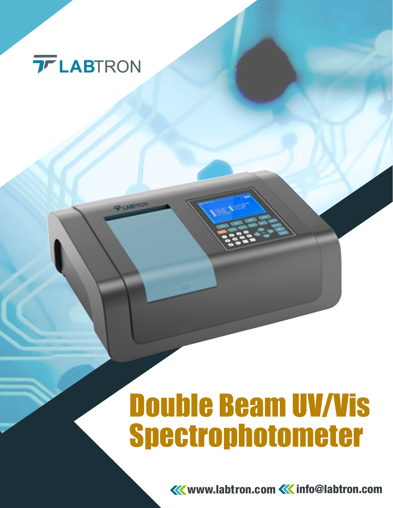

T LABTRON

# Double Beam UV/Vis Spectrophotometer

**KK** www.labtron.com **KK** info@labtron.com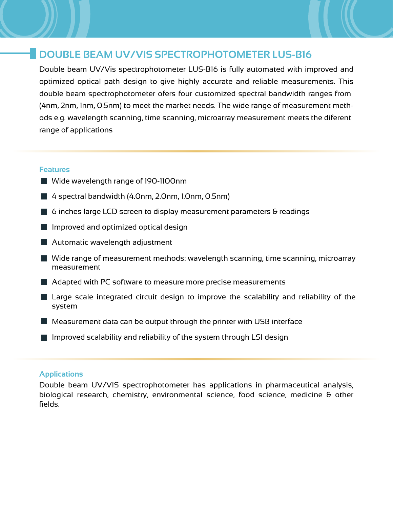### **DOUBLE BEAM UV/VIS SPECTROPHOTOMETER LUS-B16**

Double beam UV/Vis spectrophotometer LUS-B16 is fully automated with improved and optimized optical path design to give highly accurate and reliable measurements. This double beam spectrophotometer ofers four customized spectral bandwidth ranges from (4nm, 2nm, 1nm, 0.5nm) to meet the market needs. The wide range of measurement methods e.g. wavelength scanning, time scanning, microarray measurement meets the diferent range of applications

#### **Features**

- Wide wavelength range of 190-1100nm
- 4 spectral bandwidth (4.0nm, 2.0nm, 1.0nm, 0.5nm)
- $\blacksquare$  6 inches large LCD screen to display measurement parameters  $\Theta$  readings
- $\blacksquare$  Improved and optimized optical design
- **Automatic wavelength adjustment**
- $\blacksquare$  Wide range of measurement methods: wavelength scanning, time scanning, microarray measurement
- **Adapted with PC software to measure more precise measurements**
- **Large scale integrated circuit design to improve the scalability and reliability of the** system
- $\blacksquare$  Measurement data can be output through the printer with USB interface
- $\blacksquare$  Improved scalability and reliability of the system through LSI design

#### **Applications**

Double beam UV/VIS spectrophotometer has applications in pharmaceutical analysis, biological research, chemistry, environmental science, food science, medicine & other fields.